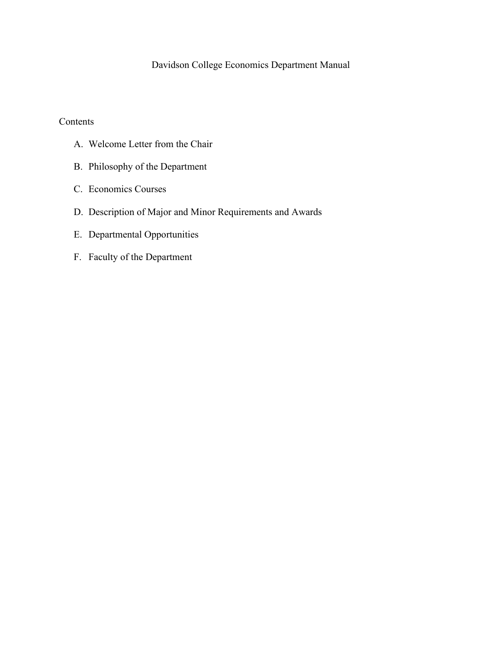## Davidson College Economics Department Manual

#### Contents

- A. Welcome Letter from the Chair
- A. Welcome Letter from the Chair B. Philosophy of the Department C. Economics Courses
- 
- D. Description of Major and Minor Requirements and Awards
- E. Departmental Opportunities
- F. Faculty of the Department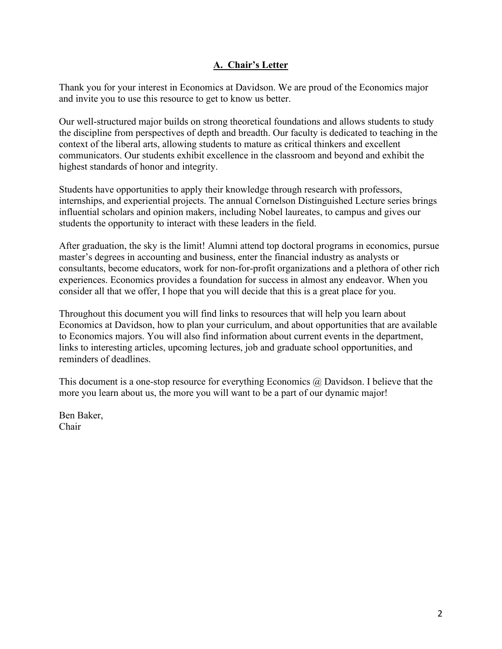## **A. Chair's Letter**

 and invite you to use this resource to get to know us better. Thank you for your interest in Economics at Davidson. We are proud of the Economics major

Our well-structured major builds on strong theoretical foundations and allows students to study the discipline from perspectives of depth and breadth. Our faculty is dedicated to teaching in the context of the liberal arts, allowing students to mature as critical thinkers and excellent communicators. Our students exhibit excellence in the classroom and beyond and exhibit the highest standards of honor and integrity.

Students have opportunities to apply their knowledge through research with professors, internships, and experiential projects. The annual Cornelson Distinguished Lecture series brings influential scholars and opinion makers, including Nobel laureates, to campus and gives our students the opportunity to interact with these leaders in the field.

After graduation, the sky is the limit! Alumni attend top doctoral programs in economics, pursue master's degrees in accounting and business, enter the financial industry as analysts or consultants, become educators, work for non-for-profit organizations and a plethora of other rich experiences. Economics provides a foundation for success in almost any endeavor. When you consider all that we offer, I hope that you will decide that this is a great place for you.

 Economics at Davidson, how to plan your curriculum, and about opportunities that are available Throughout this document you will find links to resources that will help you learn about to Economics majors. You will also find information about current events in the department, links to interesting articles, upcoming lectures, job and graduate school opportunities, and reminders of deadlines.

This document is a one-stop resource for everything Economics @ Davidson. I believe that the more you learn about us, the more you will want to be a part of our dynamic major!

Ben Baker, Chair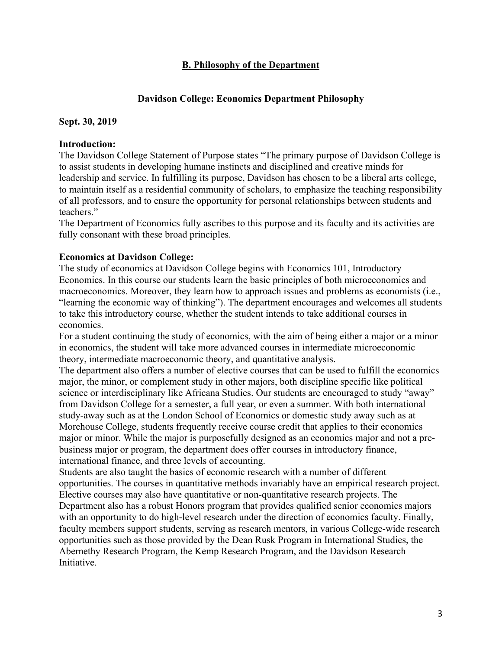### **B. Philosophy of the Department**

#### **Davidson College: Economics Department Philosophy**

#### **Sept. 30, 2019**

#### **Introduction:**

The Davidson College Statement of Purpose states "The primary purpose of Davidson College is to assist students in developing humane instincts and disciplined and creative minds for leadership and service. In fulfilling its purpose, Davidson has chosen to be a liberal arts college, to maintain itself as a residential community of scholars, to emphasize the teaching responsibility of all professors, and to ensure the opportunity for personal relationships between students and teachers."

The Department of Economics fully ascribes to this purpose and its faculty and its activities are fully consonant with these broad principles.

#### **Economics at Davidson College:**

 "learning the economic way of thinking"). The department encourages and welcomes all students The study of economics at Davidson College begins with Economics 101, Introductory Economics. In this course our students learn the basic principles of both microeconomics and macroeconomics. Moreover, they learn how to approach issues and problems as economists (i.e., to take this introductory course, whether the student intends to take additional courses in economics.

For a student continuing the study of economics, with the aim of being either a major or a minor in economics, the student will take more advanced courses in intermediate microeconomic theory, intermediate macroeconomic theory, and quantitative analysis.

 The department also offers a number of elective courses that can be used to fulfill the economics international finance, and three levels of accounting. major, the minor, or complement study in other majors, both discipline specific like political science or interdisciplinary like Africana Studies. Our students are encouraged to study "away" from Davidson College for a semester, a full year, or even a summer. With both international study-away such as at the London School of Economics or domestic study away such as at Morehouse College, students frequently receive course credit that applies to their economics major or minor. While the major is purposefully designed as an economics major and not a prebusiness major or program, the department does offer courses in introductory finance,

 Students are also taught the basics of economic research with a number of different opportunities. The courses in quantitative methods invariably have an empirical research project. Elective courses may also have quantitative or non-quantitative research projects. The Department also has a robust Honors program that provides qualified senior economics majors with an opportunity to do high-level research under the direction of economics faculty. Finally, faculty members support students, serving as research mentors, in various College-wide research opportunities such as those provided by the Dean Rusk Program in International Studies, the Abernethy Research Program, the Kemp Research Program, and the Davidson Research Initiative.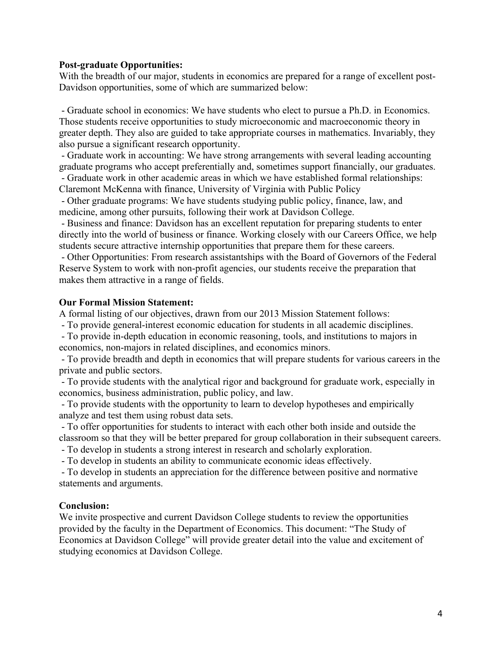#### **Post-graduate Opportunities:**

With the breadth of our major, students in economics are prepared for a range of excellent post-Davidson opportunities, some of which are summarized below:

 - Graduate school in economics: We have students who elect to pursue a Ph.D. in Economics. Those students receive opportunities to study microeconomic and macroeconomic theory in greater depth. They also are guided to take appropriate courses in mathematics. Invariably, they also pursue a significant research opportunity.

 - Graduate work in accounting: We have strong arrangements with several leading accounting graduate programs who accept preferentially and, sometimes support financially, our graduates.

 - Graduate work in other academic areas in which we have established formal relationships: Claremont McKenna with finance, University of Virginia with Public Policy

 - Other graduate programs: We have students studying public policy, finance, law, and medicine, among other pursuits, following their work at Davidson College.

 - Business and finance: Davidson has an excellent reputation for preparing students to enter directly into the world of business or finance. Working closely with our Careers Office, we help students secure attractive internship opportunities that prepare them for these careers.

 - Other Opportunities: From research assistantships with the Board of Governors of the Federal Reserve System to work with non-profit agencies, our students receive the preparation that makes them attractive in a range of fields.

#### **Our Formal Mission Statement:**

A formal listing of our objectives, drawn from our 2013 Mission Statement follows:

- To provide general-interest economic education for students in all academic disciplines.

 - To provide in-depth education in economic reasoning, tools, and institutions to majors in economics, non-majors in related disciplines, and economics minors.

 - To provide breadth and depth in economics that will prepare students for various careers in the private and public sectors.

 - To provide students with the analytical rigor and background for graduate work, especially in economics, business administration, public policy, and law.

 - To provide students with the opportunity to learn to develop hypotheses and empirically analyze and test them using robust data sets.

 - To offer opportunities for students to interact with each other both inside and outside the classroom so that they will be better prepared for group collaboration in their subsequent careers.

- To develop in students a strong interest in research and scholarly exploration.

- To develop in students an ability to communicate economic ideas effectively.

 - To develop in students an appreciation for the difference between positive and normative statements and arguments.

#### **Conclusion:**

We invite prospective and current Davidson College students to review the opportunities provided by the faculty in the Department of Economics. This document: "The Study of Economics at Davidson College" will provide greater detail into the value and excitement of studying economics at Davidson College.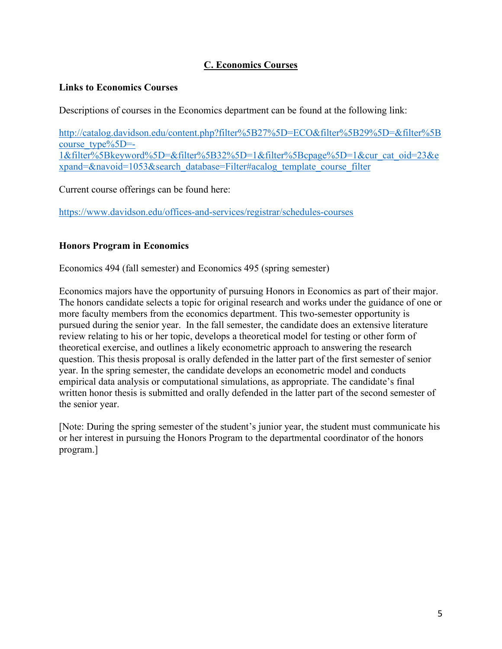## **C. Economics Courses**

#### **Links to Economics Courses**

Descriptions of courses in the Economics department can be found at the following link:

[http://catalog.davidson.edu/content.php?filter%5B27%5D=ECO&filter%5B29%5D=&filter%5B](http://catalog.davidson.edu/content.php?filter%5B27%5D=ECO&filter%5B29%5D=&filter%5Bcourse_type%5D=-1&filter%5Bkeyword%5D=&filter%5B32%5D=1&filter%5Bcpage%5D=1&cur_cat_oid=23&expand=&navoid=1053&search_database=Filter#acalog_template_course_filter)  course  $type\%5D=$ -[1&filter%5Bkeyword%5D=&filter%5B32%5D=1&filter%5Bcpage%5D=1&cur\\_cat\\_oid=23&e](http://catalog.davidson.edu/content.php?filter%5B27%5D=ECO&filter%5B29%5D=&filter%5Bcourse_type%5D=-1&filter%5Bkeyword%5D=&filter%5B32%5D=1&filter%5Bcpage%5D=1&cur_cat_oid=23&expand=&navoid=1053&search_database=Filter#acalog_template_course_filter)  [xpand=&navoid=1053&search\\_database=Filter#acalog\\_template\\_course\\_filter](http://catalog.davidson.edu/content.php?filter%5B27%5D=ECO&filter%5B29%5D=&filter%5Bcourse_type%5D=-1&filter%5Bkeyword%5D=&filter%5B32%5D=1&filter%5Bcpage%5D=1&cur_cat_oid=23&expand=&navoid=1053&search_database=Filter#acalog_template_course_filter) 

Current course offerings can be found here:

<https://www.davidson.edu/offices-and-services/registrar/schedules-courses>

## **Honors Program in Economics**

Economics 494 (fall semester) and Economics 495 (spring semester)

 The honors candidate selects a topic for original research and works under the guidance of one or the senior year. Economics majors have the opportunity of pursuing Honors in Economics as part of their major. more faculty members from the economics department. This two-semester opportunity is pursued during the senior year. In the fall semester, the candidate does an extensive literature review relating to his or her topic, develops a theoretical model for testing or other form of theoretical exercise, and outlines a likely econometric approach to answering the research question. This thesis proposal is orally defended in the latter part of the first semester of senior year. In the spring semester, the candidate develops an econometric model and conducts empirical data analysis or computational simulations, as appropriate. The candidate's final written honor thesis is submitted and orally defended in the latter part of the second semester of

[Note: During the spring semester of the student's junior year, the student must communicate his or her interest in pursuing the Honors Program to the departmental coordinator of the honors program.]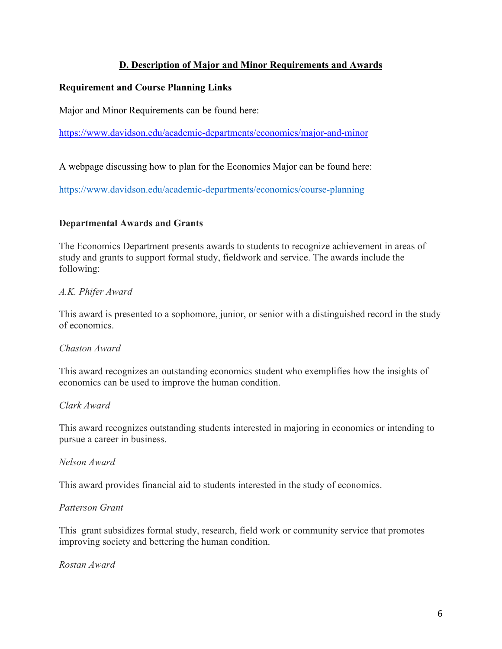## **D. Description of Major and Minor Requirements and Awards**

### **Requirement and Course Planning Links**

Major and Minor Requirements can be found here:

<https://www.davidson.edu/academic-departments/economics/major-and-minor>

A webpage discussing how to plan for the Economics Major can be found here:

https://www.davidson.edu/academic-departments/economics/course-planning

#### **Departmental Awards and Grants**

The Economics Department presents awards to students to recognize achievement in areas of study and grants to support formal study, fieldwork and service. The awards include the following:

## *A.K. Phifer Award*

This award is presented to a sophomore, junior, or senior with a distinguished record in the study of economics.

#### *Chaston Award*

This award recognizes an outstanding economics student who exemplifies how the insights of economics can be used to improve the human condition.

#### *Clark Award*

This award recognizes outstanding students interested in majoring in economics or intending to pursue a career in business.

#### *Nelson Award*

This award provides financial aid to students interested in the study of economics.

#### *Patterson Grant*

This grant subsidizes formal study, research, field work or community service that promotes improving society and bettering the human condition.

*Rostan Award*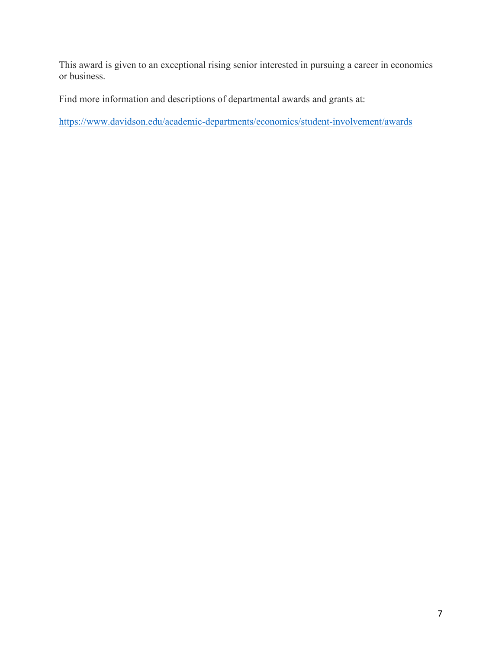This award is given to an exceptional rising senior interested in pursuing a career in economics or business.

Find more information and descriptions of departmental awards and grants at:

<https://www.davidson.edu/academic-departments/economics/student-involvement/awards>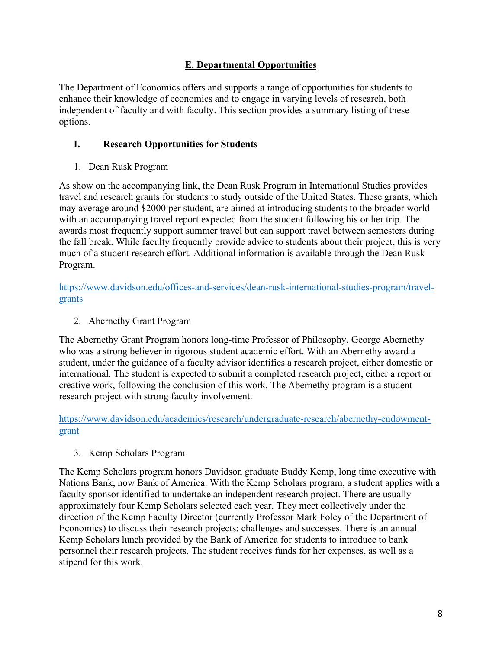## **E. Departmental Opportunities**

The Department of Economics offers and supports a range of opportunities for students to enhance their knowledge of economics and to engage in varying levels of research, both independent of faculty and with faculty. This section provides a summary listing of these options.

### **I. Research Opportunities for Students**

1. Dean Rusk Program

As show on the accompanying link, the Dean Rusk Program in International Studies provides travel and research grants for students to study outside of the United States. These grants, which may average around \$2000 per student, are aimed at introducing students to the broader world with an accompanying travel report expected from the student following his or her trip. The awards most frequently support summer travel but can support travel between semesters during the fall break. While faculty frequently provide advice to students about their project, this is very much of a student research effort. Additional information is available through the Dean Rusk Program.

grants [https://www.davidson.edu/offices-and-services/dean-rusk-international-studies-program/travel-](https://www.davidson.edu/offices-and-services/dean-rusk-international-studies-program/travel-grants)

2. Abernethy Grant Program

 international. The student is expected to submit a completed research project, either a report or The Abernethy Grant Program honors long-time Professor of Philosophy, George Abernethy who was a strong believer in rigorous student academic effort. With an Abernethy award a student, under the guidance of a faculty advisor identifies a research project, either domestic or creative work, following the conclusion of this work. The Abernethy program is a student research project with strong faculty involvement.

grant [https://www.davidson.edu/academics/research/undergraduate-research/abernethy-endowment-](https://www.davidson.edu/academics/research/undergraduate-research/abernethy-endowment-grant)

#### 3. Kemp Scholars Program

 approximately four Kemp Scholars selected each year. They meet collectively under the Economics) to discuss their research projects: challenges and successes. There is an annual The Kemp Scholars program honors Davidson graduate Buddy Kemp, long time executive with Nations Bank, now Bank of America. With the Kemp Scholars program, a student applies with a faculty sponsor identified to undertake an independent research project. There are usually direction of the Kemp Faculty Director (currently Professor Mark Foley of the Department of Kemp Scholars lunch provided by the Bank of America for students to introduce to bank personnel their research projects. The student receives funds for her expenses, as well as a stipend for this work.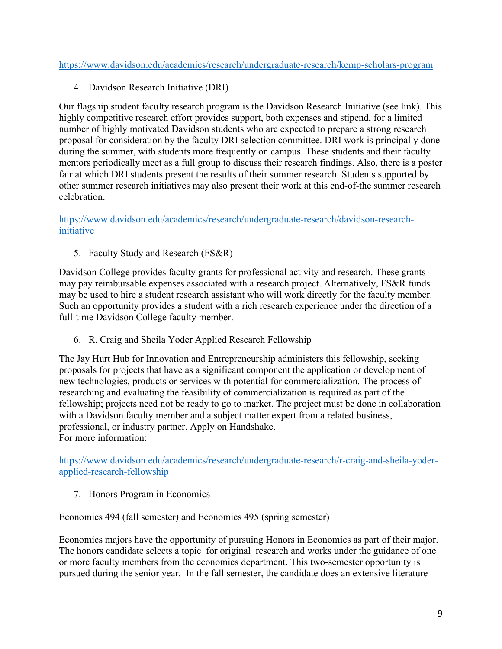<https://www.davidson.edu/academics/research/undergraduate-research/kemp-scholars-program>

4. Davidson Research Initiative (DRI)

Our flagship student faculty research program is the Davidson Research Initiative (see link). This highly competitive research effort provides support, both expenses and stipend, for a limited number of highly motivated Davidson students who are expected to prepare a strong research proposal for consideration by the faculty DRI selection committee. DRI work is principally done during the summer, with students more frequently on campus. These students and their faculty mentors periodically meet as a full group to discuss their research findings. Also, there is a poster fair at which DRI students present the results of their summer research. Students supported by other summer research initiatives may also present their work at this end-of-the summer research celebration.

[https://www.davidson.edu/academics/research/undergraduate-research/davidson-research](https://www.davidson.edu/academics/research/undergraduate-research/davidson-research-initiative)[initiative](https://www.davidson.edu/academics/research/undergraduate-research/davidson-research-initiative) 

5. Faculty Study and Research (FS&R)

 Such an opportunity provides a student with a rich research experience under the direction of a Davidson College provides faculty grants for professional activity and research. These grants may pay reimbursable expenses associated with a research project. Alternatively, FS&R funds may be used to hire a student research assistant who will work directly for the faculty member. full-time Davidson College faculty member.

6. R. Craig and Sheila Yoder Applied Research Fellowship

The Jay Hurt Hub for Innovation and Entrepreneurship administers this fellowship, seeking proposals for projects that have as a significant component the application or development of new technologies, products or services with potential for commercialization. The process of researching and evaluating the feasibility of commercialization is required as part of the fellowship; projects need not be ready to go to market. The project must be done in collaboration with a Davidson faculty member and a subject matter expert from a related business, professional, or industry partner. Apply on Handshake. For more information:

[https://www.davidson.edu/academics/research/undergraduate-research/r-craig-and-sheila-yoder](https://www.davidson.edu/academics/research/undergraduate-research/r-craig-and-sheila-yoder-applied-research-fellowship)[applied-research-fellowship](https://www.davidson.edu/academics/research/undergraduate-research/r-craig-and-sheila-yoder-applied-research-fellowship) 

7. Honors Program in Economics

Economics 494 (fall semester) and Economics 495 (spring semester)

 The honors candidate selects a topic for original research and works under the guidance of one Economics majors have the opportunity of pursuing Honors in Economics as part of their major. or more faculty members from the economics department. This two-semester opportunity is pursued during the senior year. In the fall semester, the candidate does an extensive literature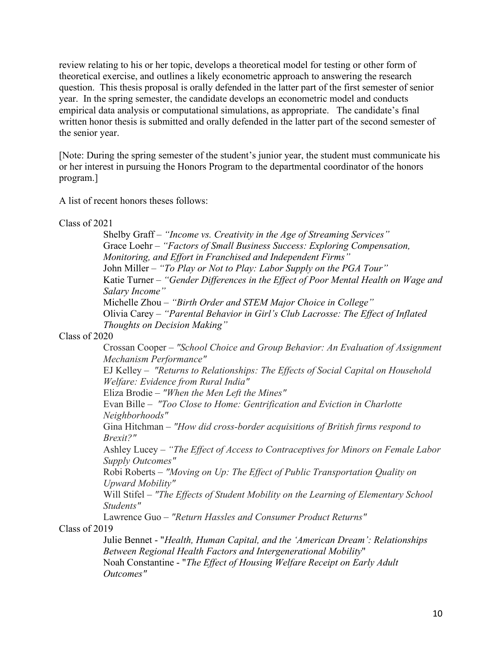year. In the spring semester, the candidate develops an econometric model and conducts empirical data analysis or computational simulations, as appropriate. The candidate's final the senior year. review relating to his or her topic, develops a theoretical model for testing or other form of theoretical exercise, and outlines a likely econometric approach to answering the research question. This thesis proposal is orally defended in the latter part of the first semester of senior written honor thesis is submitted and orally defended in the latter part of the second semester of

[Note: During the spring semester of the student's junior year, the student must communicate his or her interest in pursuing the Honors Program to the departmental coordinator of the honors program.]

A list of recent honors theses follows: Class of 2021

 *Salary Income" Thoughts on Decision Making"* Shelby Graff – *"Income vs. Creativity in the Age of Streaming Services"*  Grace Loehr – *"Factors of Small Business Success: Exploring Compensation, Monitoring, and Effort in Franchised and Independent Firms"*  John Miller – *"To Play or Not to Play: Labor Supply on the PGA Tour"*  Katie Turner – *"Gender Differences in the Effect of Poor Mental Health on Wage and*  Michelle Zhou – *"Birth Order and STEM Major Choice in College"*  Olivia Carey – *"Parental Behavior in Girl's Club Lacrosse: The Effect of Inflated* 

Class of 2020

 Crossan Cooper – *"School Choice and Group Behavior: An Evaluation of Assignment Mechanism Performance"* 

 EJ Kelley – *"Returns to Relationships: The Effects of Social Capital on Household Welfare: Evidence from Rural India"* 

Eliza Brodie – *"When the Men Left the Mines"* 

Evan Bille – *"Too Close to Home: Gentrification and Eviction in Charlotte Neighborhoods"* 

Gina Hitchman – *"How did cross-border acquisitions of British firms respond to Brexit?"* 

Ashley Lucey – *"The Effect of Access to Contraceptives for Minors on Female Labor Supply Outcomes"* 

Robi Roberts – *"Moving on Up: The Effect of Public Transportation Quality on Upward Mobility"* 

Will Stifel – *"The Effects of Student Mobility on the Learning of Elementary School Students"* 

Lawrence Guo – *"Return Hassles and Consumer Product Returns"*  Class of 2019

 Julie Bennet - "*Health, Human Capital, and the 'American Dream': Relationships*  Noah Constantine - "*The Effect of Housing Welfare Receipt on Early Adult Between Regional Health Factors and Intergenerational Mobility*" *Outcomes"*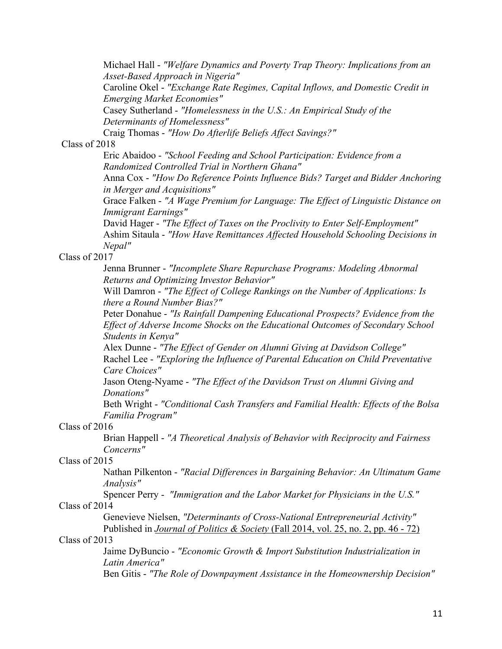Michael Hall - *"Welfare Dynamics and Poverty Trap Theory: Implications from an*  Caroline Okel - *"Exchange Rate Regimes, Capital Inflows, and Domestic Credit in Asset-Based Approach in Nigeria"* 

*Emerging Market Economies"* 

 Casey Sutherland - *"Homelessness in the U.S.: An Empirical Study of the Determinants of Homelessness"* 

Craig Thomas - *"How Do Afterlife Beliefs Affect Savings?"* 

#### Class of 2018

 Eric Abaidoo - *"School Feeding and School Participation: Evidence from a Randomized Controlled Trial in Northern Ghana"* 

 Anna Cox - *"How Do Reference Points Influence Bids? Target and Bidder Anchoring in Merger and Acquisitions"* 

 Grace Falken - *"A Wage Premium for Language: The Effect of Linguistic Distance on Immigrant Earnings"* 

 David Hager - *"The Effect of Taxes on the Proclivity to Enter Self-Employment"*  Ashim Sitaula - *"How Have Remittances Affected Household Schooling Decisions in Nepal"* 

#### Class of 2017

 Jenna Brunner - *"Incomplete Share Repurchase Programs: Modeling Abnormal Returns and Optimizing Investor Behavior"* 

 Will Damron - *"The Effect of College Rankings on the Number of Applications: Is there a Round Number Bias?"* 

 Peter Donahue - *"Is Rainfall Dampening Educational Prospects? Evidence from the Effect of Adverse Income Shocks on the Educational Outcomes of Secondary School Students in Kenya"* 

 Alex Dunne - *"The Effect of Gender on Alumni Giving at Davidson College"*  Rachel Lee - *"Exploring the Influence of Parental Education on Child Preventative Care Choices"* 

 Jason Oteng-Nyame - *"The Effect of the Davidson Trust on Alumni Giving and Donations"* 

 Beth Wright - *"Conditional Cash Transfers and Familial Health: Effects of the Bolsa Familia Program"* 

#### Class of 2016

 Brian Happell - *"A Theoretical Analysis of Behavior with Reciprocity and Fairness Concerns"* 

#### Class of 2015

Nathan Pilkenton - *"Racial Differences in Bargaining Behavior: An Ultimatum Game Analysis"* 

Spencer Perry - *"Immigration and the Labor Market for Physicians in the U.S."* 

## Class of 2014

 Published in *[Journal of Politics & Society](https://nam10.safelinks.protection.outlook.com/?url=http%3A%2F%2Fwww.helvidius.org%2Fjournal%2Ffall-2014%2F&data=02%7C01%7Cwistifel%40davidson.edu%7C0808e4eb98cb4b16b1f908d7684e128d%7C35d8763cd2b14213b629f5df0af9e3c3%7C1%7C0%7C637092556841813092&sdata=DjX4v%2FeGUV4AhU%2F324GQdwOQAuPyRHPVelsUuWbUU5o%3D&reserved=0)* [\(Fall 2014, vol. 25, no. 2, pp. 46 - 72\)](https://nam10.safelinks.protection.outlook.com/?url=http%3A%2F%2Fwww.helvidius.org%2Fjournal%2Ffall-2014%2F&data=02%7C01%7Cwistifel%40davidson.edu%7C0808e4eb98cb4b16b1f908d7684e128d%7C35d8763cd2b14213b629f5df0af9e3c3%7C1%7C0%7C637092556841823086&sdata=lxmDJ9NoCWaXfnujM26uXqM1r8SJzJFMEmKFaID9KbY%3D&reserved=0)  Genevieve Nielsen, *"Determinants of Cross-National Entrepreneurial Activity"* 

#### Class of 2013

 Jaime DyBuncio - *"Economic Growth & Import Substitution Industrialization in Latin America"* 

Ben Gitis - *"The Role of Downpayment Assistance in the Homeownership Decision"*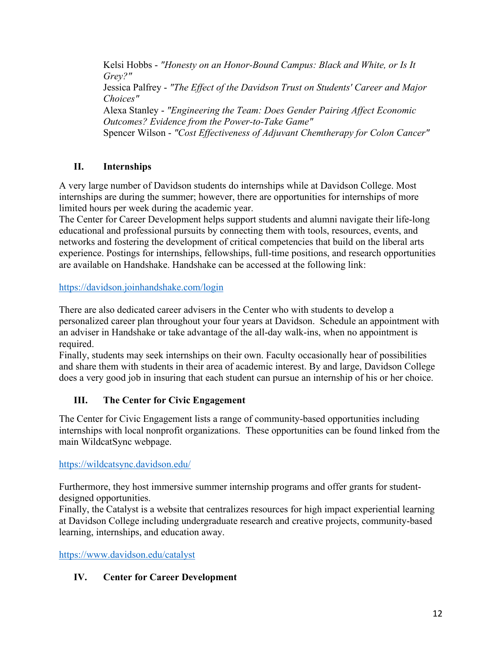Kelsi Hobbs - *"Honesty on an Honor-Bound Campus: Black and White, or Is It*  Jessica Palfrey - *"The Effect of the Davidson Trust on Students' Career and Major*  Alexa Stanley - *"Engineering the Team: Does Gender Pairing Affect Economic*  Spencer Wilson - *"Cost Effectiveness of Adjuvant Chemtherapy for Colon Cancer" Grey?" Choices" Outcomes? Evidence from the Power-to-Take Game"* 

## **II. Internships**

A very large number of Davidson students do internships while at Davidson College. Most internships are during the summer; however, there are opportunities for internships of more limited hours per week during the academic year.

 networks and fostering the development of critical competencies that build on the liberal arts The Center for Career Development helps support students and alumni navigate their life-long educational and professional pursuits by connecting them with tools, resources, events, and experience. Postings for internships, fellowships, full-time positions, and research opportunities are available on Handshake. Handshake can be accessed at the following link:

<https://davidson.joinhandshake.com/login>

 There are also dedicated career advisers in the Center who with students to develop a personalized career plan throughout your four years at Davidson. Schedule an appointment with an adviser in Handshake or take advantage of the all-day walk-ins, when no appointment is required.

 does a very good job in insuring that each student can pursue an internship of his or her choice. Finally, students may seek internships on their own. Faculty occasionally hear of possibilities and share them with students in their area of academic interest. By and large, Davidson College

## **III. The Center for Civic Engagement**

The Center for Civic Engagement lists a range of community-based opportunities including internships with local nonprofit organizations. These opportunities can be found linked from the main WildcatSync webpage.

#### <https://wildcatsync.davidson.edu/>

Furthermore, they host immersive summer internship programs and offer grants for studentdesigned opportunities.

Finally, the Catalyst is a website that centralizes resources for high impact experiential learning at Davidson College including undergraduate research and creative projects, community-based learning, internships, and education away.

<https://www.davidson.edu/catalyst>

#### **IV. Center for Career Development**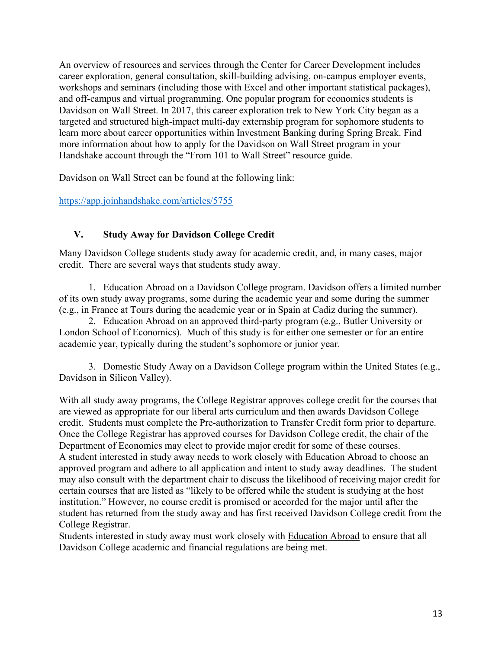An overview of resources and services through the Center for Career Development includes career exploration, general consultation, skill-building advising, on-campus employer events, workshops and seminars (including those with Excel and other important statistical packages), and off-campus and virtual programming. One popular program for economics students is Davidson on Wall Street. In 2017, this career exploration trek to New York City began as a targeted and structured high-impact multi-day externship program for sophomore students to learn more about career opportunities within Investment Banking during Spring Break. Find more information about how to apply for the Davidson on Wall Street program in your Handshake account through the "From 101 to Wall Street" resource guide.

Davidson on Wall Street can be found at the following link:

<https://app.joinhandshake.com/articles/5755>

#### **V. Study Away for Davidson College Credit**

 Many Davidson College students study away for academic credit, and, in many cases, major credit. There are several ways that students study away.

 of its own study away programs, some during the academic year and some during the summer 1. Education Abroad on a Davidson College program. Davidson offers a limited number (e.g., in France at Tours during the academic year or in Spain at Cadiz during the summer).

2. Education Abroad on an approved third-party program (e.g., Butler University or London School of Economics). Much of this study is for either one semester or for an entire academic year, typically during the student's sophomore or junior year.

3. Domestic Study Away on a Davidson College program within the United States (e.g., Davidson in Silicon Valley).

With all study away programs, the College Registrar approves college credit for the courses that are viewed as appropriate for our liberal arts curriculum and then awards Davidson College credit. Students must complete the Pre-authorization to Transfer Credit form prior to departure. Once the College Registrar has approved courses for Davidson College credit, the chair of the Department of Economics may elect to provide major credit for some of these courses. A student interested in study away needs to work closely with Education Abroad to choose an approved program and adhere to all application and intent to study away deadlines. The student may also consult with the department chair to discuss the likelihood of receiving major credit for certain courses that are listed as "likely to be offered while the student is studying at the host institution." However, no course credit is promised or accorded for the major until after the student has returned from the study away and has first received Davidson College credit from the College Registrar.

Students interested in study away must work closely with Education Abroad to ensure that all Davidson College academic and financial regulations are being met.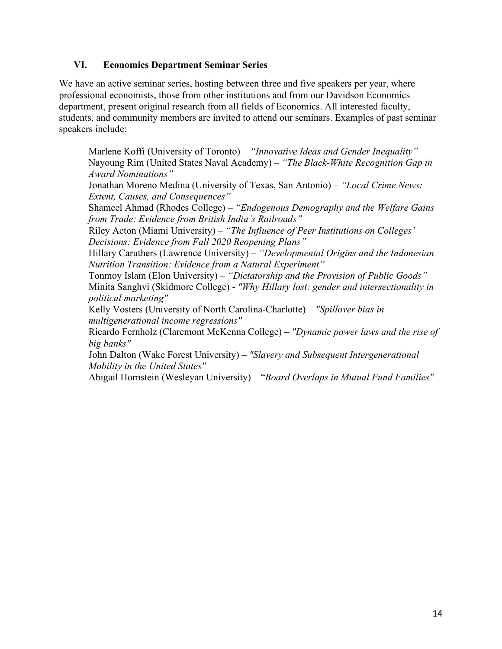### **VI. Economics Department Seminar Series**

speakers include: We have an active seminar series, hosting between three and five speakers per year, where professional economists, those from other institutions and from our Davidson Economics department, present original research from all fields of Economics. All interested faculty, students, and community members are invited to attend our seminars. Examples of past seminar

 Jonathan Moreno Medina (University of Texas, San Antonio) – *"Local Crime News:*  Shameel Ahmad (Rhodes College) – *"Endogenous Demography and the Welfare Gains*  Tonmoy Islam (Elon University) – *"Dictatorship and the Provision of Public Goods"*  Minita Sanghvi (Skidmore College) - *"Why Hillary lost: gender and intersectionality in*  Kelly Vosters (University of North Carolina-Charlotte) – *"Spillover bias in*  Ricardo Fernholz (Claremont McKenna College) – *"Dynamic power laws and the rise of*  John Dalton (Wake Forest University) – *"Slavery and Subsequent Intergenerational*  Abigail Hornstein (Wesleyan University) – "*Board Overlaps in Mutual Fund Families"*  Marlene Koffi (University of Toronto) – *"Innovative Ideas and Gender Inequality"* Nayoung Rim (United States Naval Academy) – *"The Black-White Recognition Gap in Award Nominations" Extent, Causes, and Consequences" from Trade: Evidence from British India's Railroads"*  Riley Acton (Miami University) – *"The Influence of Peer Institutions on Colleges' Decisions: Evidence from Fall 2020 Reopening Plans"*  Hillary Caruthers (Lawrence University) – *"Developmental Origins and the Indonesian Nutrition Transition: Evidence from a Natural Experiment" political marketing" multigenerational income regressions" big banks" Mobility in the United States"*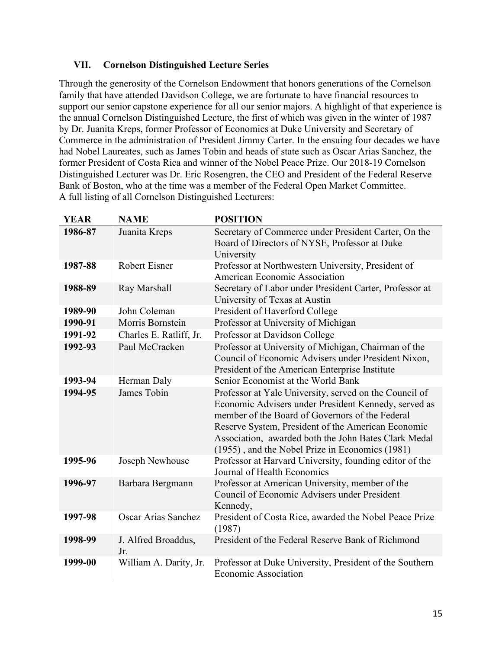### **VII. Cornelson Distinguished Lecture Series**

 support our senior capstone experience for all our senior majors. A highlight of that experience is Through the generosity of the Cornelson Endowment that honors generations of the Cornelson family that have attended Davidson College, we are fortunate to have financial resources to the annual Cornelson Distinguished Lecture, the first of which was given in the winter of 1987 by Dr. Juanita Kreps, former Professor of Economics at Duke University and Secretary of Commerce in the administration of President Jimmy Carter. In the ensuing four decades we have had Nobel Laureates, such as James Tobin and heads of state such as Oscar Arias Sanchez, the former President of Costa Rica and winner of the Nobel Peace Prize. Our 2018-19 Cornelson Distinguished Lecturer was Dr. Eric Rosengren, the CEO and President of the Federal Reserve Bank of Boston, who at the time was a member of the Federal Open Market Committee. A full listing of all Cornelson Distinguished Lecturers:

| <b>YEAR</b> | <b>NAME</b>                | <b>POSITION</b>                                                                                                                                                                                                                                                                                                                    |
|-------------|----------------------------|------------------------------------------------------------------------------------------------------------------------------------------------------------------------------------------------------------------------------------------------------------------------------------------------------------------------------------|
| 1986-87     | Juanita Kreps              | Secretary of Commerce under President Carter, On the<br>Board of Directors of NYSE, Professor at Duke<br>University                                                                                                                                                                                                                |
| 1987-88     | <b>Robert Eisner</b>       | Professor at Northwestern University, President of<br>American Economic Association                                                                                                                                                                                                                                                |
| 1988-89     | Ray Marshall               | Secretary of Labor under President Carter, Professor at<br>University of Texas at Austin                                                                                                                                                                                                                                           |
| 1989-90     | John Coleman               | President of Haverford College                                                                                                                                                                                                                                                                                                     |
| 1990-91     | Morris Bornstein           | Professor at University of Michigan                                                                                                                                                                                                                                                                                                |
| 1991-92     | Charles E. Ratliff, Jr.    | Professor at Davidson College                                                                                                                                                                                                                                                                                                      |
| 1992-93     | Paul McCracken             | Professor at University of Michigan, Chairman of the<br>Council of Economic Advisers under President Nixon,<br>President of the American Enterprise Institute                                                                                                                                                                      |
| 1993-94     | Herman Daly                | Senior Economist at the World Bank                                                                                                                                                                                                                                                                                                 |
| 1994-95     | James Tobin                | Professor at Yale University, served on the Council of<br>Economic Advisers under President Kennedy, served as<br>member of the Board of Governors of the Federal<br>Reserve System, President of the American Economic<br>Association, awarded both the John Bates Clark Medal<br>(1955), and the Nobel Prize in Economics (1981) |
| 1995-96     | Joseph Newhouse            | Professor at Harvard University, founding editor of the<br>Journal of Health Economics                                                                                                                                                                                                                                             |
| 1996-97     | Barbara Bergmann           | Professor at American University, member of the<br>Council of Economic Advisers under President<br>Kennedy,                                                                                                                                                                                                                        |
| 1997-98     | Oscar Arias Sanchez        | President of Costa Rice, awarded the Nobel Peace Prize<br>(1987)                                                                                                                                                                                                                                                                   |
| 1998-99     | J. Alfred Broaddus,<br>Jr. | President of the Federal Reserve Bank of Richmond                                                                                                                                                                                                                                                                                  |
| 1999-00     | William A. Darity, Jr.     | Professor at Duke University, President of the Southern<br><b>Economic Association</b>                                                                                                                                                                                                                                             |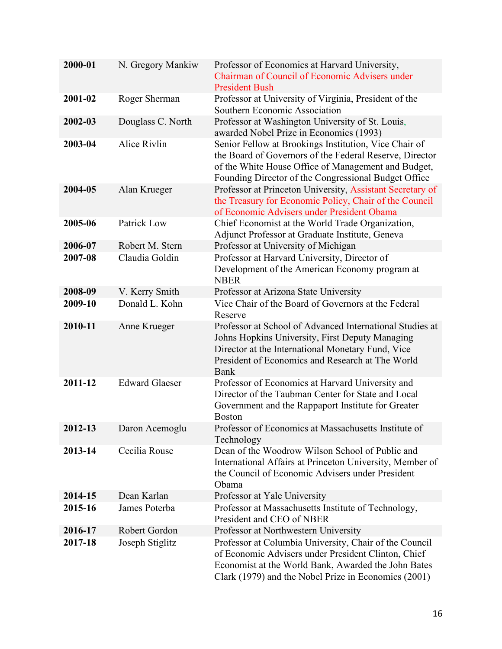| 2000-01 | N. Gregory Mankiw     | Professor of Economics at Harvard University,<br>Chairman of Council of Economic Advisers under<br><b>President Bush</b>                                                                                                            |
|---------|-----------------------|-------------------------------------------------------------------------------------------------------------------------------------------------------------------------------------------------------------------------------------|
| 2001-02 | Roger Sherman         | Professor at University of Virginia, President of the<br>Southern Economic Association                                                                                                                                              |
| 2002-03 | Douglass C. North     | Professor at Washington University of St. Louis,<br>awarded Nobel Prize in Economics (1993)                                                                                                                                         |
| 2003-04 | Alice Rivlin          | Senior Fellow at Brookings Institution, Vice Chair of<br>the Board of Governors of the Federal Reserve, Director<br>of the White House Office of Management and Budget,<br>Founding Director of the Congressional Budget Office     |
| 2004-05 | Alan Krueger          | Professor at Princeton University, Assistant Secretary of<br>the Treasury for Economic Policy, Chair of the Council<br>of Economic Advisers under President Obama                                                                   |
| 2005-06 | Patrick Low           | Chief Economist at the World Trade Organization,<br>Adjunct Professor at Graduate Institute, Geneva                                                                                                                                 |
| 2006-07 | Robert M. Stern       | Professor at University of Michigan                                                                                                                                                                                                 |
| 2007-08 | Claudia Goldin        | Professor at Harvard University, Director of<br>Development of the American Economy program at<br><b>NBER</b>                                                                                                                       |
| 2008-09 | V. Kerry Smith        | Professor at Arizona State University                                                                                                                                                                                               |
| 2009-10 | Donald L. Kohn        | Vice Chair of the Board of Governors at the Federal<br>Reserve                                                                                                                                                                      |
| 2010-11 | Anne Krueger          | Professor at School of Advanced International Studies at<br>Johns Hopkins University, First Deputy Managing<br>Director at the International Monetary Fund, Vice<br>President of Economics and Research at The World<br><b>Bank</b> |
| 2011-12 | <b>Edward Glaeser</b> | Professor of Economics at Harvard University and<br>Director of the Taubman Center for State and Local<br>Government and the Rappaport Institute for Greater<br><b>Boston</b>                                                       |
| 2012-13 | Daron Acemoglu        | Professor of Economics at Massachusetts Institute of<br>Technology                                                                                                                                                                  |
| 2013-14 | Cecilia Rouse         | Dean of the Woodrow Wilson School of Public and<br>International Affairs at Princeton University, Member of<br>the Council of Economic Advisers under President<br>Obama                                                            |
| 2014-15 | Dean Karlan           | Professor at Yale University                                                                                                                                                                                                        |
| 2015-16 | James Poterba         | Professor at Massachusetts Institute of Technology,<br>President and CEO of NBER                                                                                                                                                    |
| 2016-17 | Robert Gordon         | Professor at Northwestern University                                                                                                                                                                                                |
| 2017-18 | Joseph Stiglitz       | Professor at Columbia University, Chair of the Council<br>of Economic Advisers under President Clinton, Chief<br>Economist at the World Bank, Awarded the John Bates<br>Clark (1979) and the Nobel Prize in Economics (2001)        |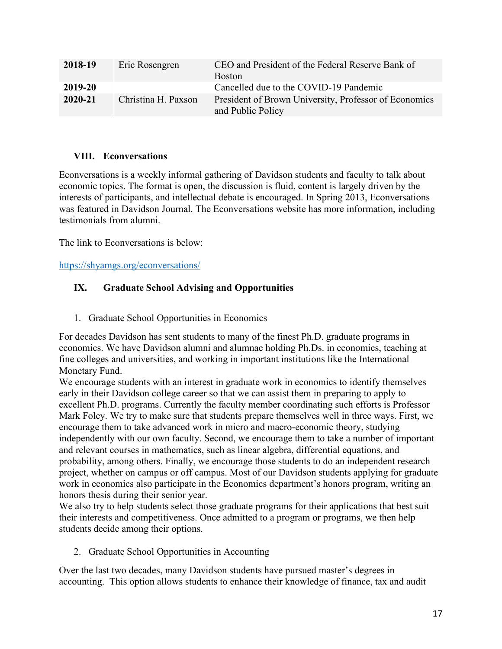| 2018-19 | Eric Rosengren      | CEO and President of the Federal Reserve Bank of<br><b>Boston</b>          |
|---------|---------------------|----------------------------------------------------------------------------|
| 2019-20 |                     | Cancelled due to the COVID-19 Pandemic                                     |
| 2020-21 | Christina H. Paxson | President of Brown University, Professor of Economics<br>and Public Policy |

## **VIII. Econversations**

Econversations is a weekly informal gathering of Davidson students and faculty to talk about economic topics. The format is open, the discussion is fluid, content is largely driven by the interests of participants, and intellectual debate is encouraged. In Spring 2013, Econversations was featured in Davidson Journal. The Econversations website has more information, including testimonials from alumni.

The link to Econversations is below:

<https://shyamgs.org/econversations/>

## **IX. Graduate School Advising and Opportunities**

1. Graduate School Opportunities in Economics

For decades Davidson has sent students to many of the finest Ph.D. graduate programs in economics. We have Davidson alumni and alumnae holding Ph.Ds. in economics, teaching at fine colleges and universities, and working in important institutions like the International Monetary Fund.

We encourage students with an interest in graduate work in economics to identify themselves early in their Davidson college career so that we can assist them in preparing to apply to excellent Ph.D. programs. Currently the faculty member coordinating such efforts is Professor Mark Foley. We try to make sure that students prepare themselves well in three ways. First, we encourage them to take advanced work in micro and macro-economic theory, studying independently with our own faculty. Second, we encourage them to take a number of important and relevant courses in mathematics, such as linear algebra, differential equations, and probability, among others. Finally, we encourage those students to do an independent research project, whether on campus or off campus. Most of our Davidson students applying for graduate work in economics also participate in the Economics department's honors program, writing an honors thesis during their senior year.

We also try to help students select those graduate programs for their applications that best suit their interests and competitiveness. Once admitted to a program or programs, we then help students decide among their options.

2. Graduate School Opportunities in Accounting

Over the last two decades, many Davidson students have pursued master's degrees in accounting. This option allows students to enhance their knowledge of finance, tax and audit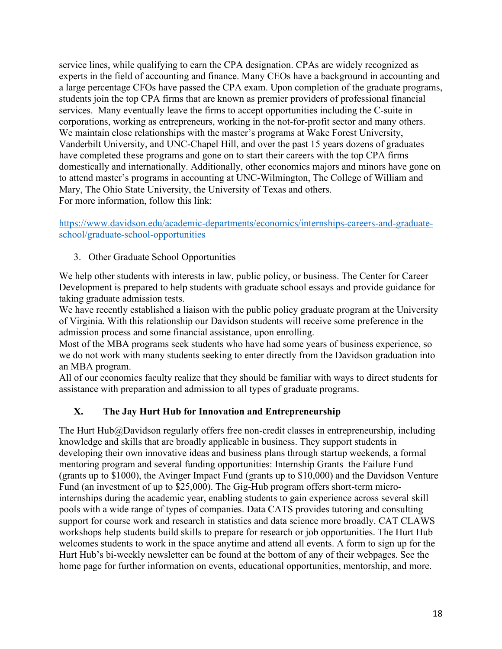service lines, while qualifying to earn the CPA designation. CPAs are widely recognized as experts in the field of accounting and finance. Many CEOs have a background in accounting and a large percentage CFOs have passed the CPA exam. Upon completion of the graduate programs, students join the top CPA firms that are known as premier providers of professional financial services. Many eventually leave the firms to accept opportunities including the C-suite in corporations, working as entrepreneurs, working in the not-for-profit sector and many others. We maintain close relationships with the master's programs at Wake Forest University, Vanderbilt University, and UNC-Chapel Hill, and over the past 15 years dozens of graduates have completed these programs and gone on to start their careers with the top CPA firms domestically and internationally. Additionally, other economics majors and minors have gone on to attend master's programs in accounting at UNC-Wilmington, The College of William and Mary, The Ohio State University, the University of Texas and others. For more information, follow this link:

## [https://www.davidson.edu/academic-departments/economics/internships-careers-and-graduate](https://www.davidson.edu/academic-departments/economics/internships-careers-and-graduate-school/graduate-school-opportunities)[school/graduate-school-opportunities](https://www.davidson.edu/academic-departments/economics/internships-careers-and-graduate-school/graduate-school-opportunities)

3. Other Graduate School Opportunities

 Development is prepared to help students with graduate school essays and provide guidance for We help other students with interests in law, public policy, or business. The Center for Career taking graduate admission tests.

We have recently established a liaison with the public policy graduate program at the University of Virginia. With this relationship our Davidson students will receive some preference in the admission process and some financial assistance, upon enrolling.

Most of the MBA programs seek students who have had some years of business experience, so we do not work with many students seeking to enter directly from the Davidson graduation into an MBA program.

All of our economics faculty realize that they should be familiar with ways to direct students for assistance with preparation and admission to all types of graduate programs.

## **X. The Jay Hurt Hub for Innovation and Entrepreneurship**

 developing their own innovative ideas and business plans through startup weekends, a formal (grants up to \$1000), the Avinger Impact Fund (grants up to \$10,000) and the Davidson Venture The Hurt Hub@Davidson regularly offers free non-credit classes in entrepreneurship, including knowledge and skills that are broadly applicable in business. They support students in mentoring program and several funding opportunities: Internship Grants the Failure Fund Fund (an investment of up to \$25,000). The Gig-Hub program offers short-term microinternships during the academic year, enabling students to gain experience across several skill pools with a wide range of types of companies. Data CATS provides tutoring and consulting support for course work and research in statistics and data science more broadly. CAT CLAWS workshops help students build skills to prepare for research or job opportunities. The Hurt Hub welcomes students to work in the space anytime and attend all events. A form to sign up for the Hurt Hub's bi-weekly newsletter can be found at the bottom of any of their webpages. See the home page for further information on events, educational opportunities, mentorship, and more.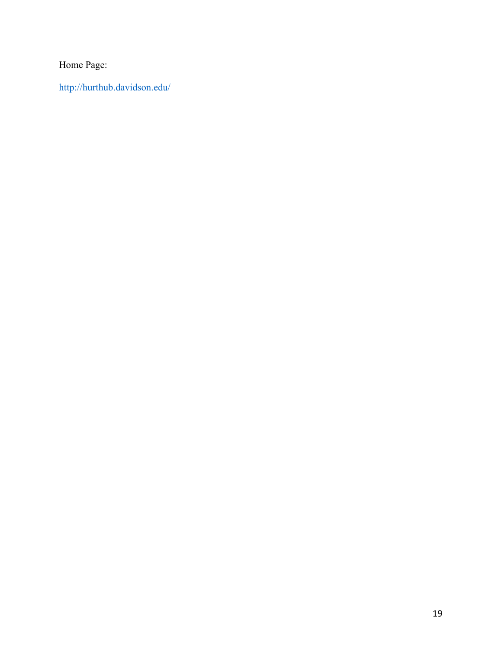Home Page:

<http://hurthub.davidson.edu/>